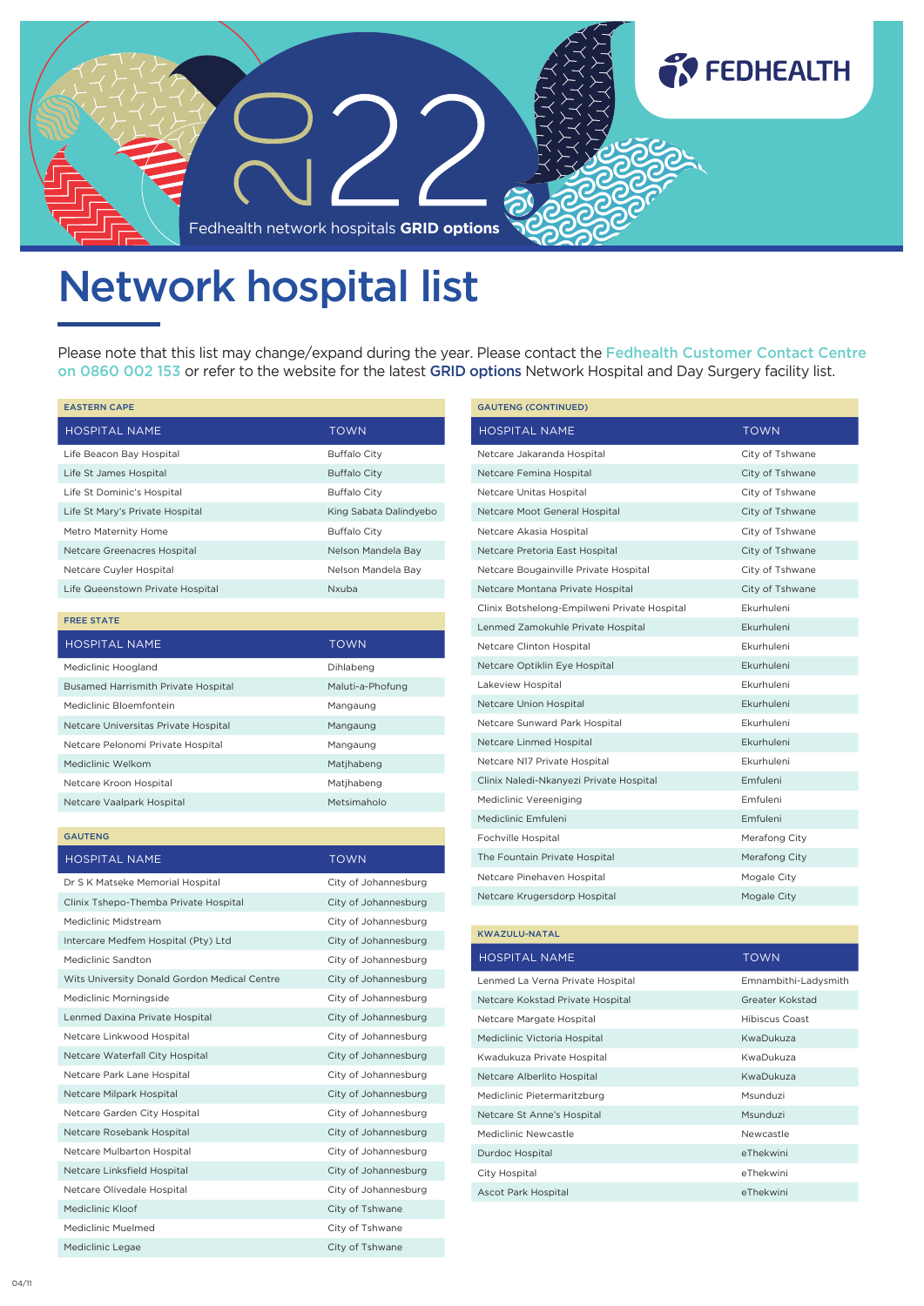

# Network hospital list

Please note that this list may change/expand during the year. Please contact the Fedhealth Customer Contact Centre on 0860 002 153 or refer to the website for the latest GRID options Network Hospital and Day Surgery facility list.

| <b>EASTERN CAPE</b>                        |                        |
|--------------------------------------------|------------------------|
| <b>HOSPITAL NAME</b>                       | <b>TOWN</b>            |
| Life Beacon Bay Hospital                   | <b>Buffalo City</b>    |
| Life St James Hospital                     | <b>Buffalo City</b>    |
| Life St Dominic's Hospital                 | <b>Buffalo City</b>    |
| Life St Mary's Private Hospital            | King Sabata Dalindyebo |
| Metro Maternity Home                       | <b>Buffalo City</b>    |
| Netcare Greenacres Hospital                | Nelson Mandela Bay     |
| Netcare Cuyler Hospital                    | Nelson Mandela Bay     |
| Life Queenstown Private Hospital           | Nxuba                  |
|                                            |                        |
| <b>FREE STATE</b>                          |                        |
| <b>HOSPITAL NAME</b>                       | <b>TOWN</b>            |
| Mediclinic Hoogland                        | Dihlabeng              |
| <b>Busamed Harrismith Private Hospital</b> | Maluti-a-Phofung       |
| Mediclinic Bloemfontein                    | Mangaung               |

| Mediclinic Bloemfontein              | Mangaung    |
|--------------------------------------|-------------|
| Netcare Universitas Private Hospital | Mangaung    |
| Netcare Pelonomi Private Hospital    | Mangaung    |
| Mediclinic Welkom                    | Matjhabeng  |
| Netcare Kroon Hospital               | Matihabeng  |
| Netcare Vaalpark Hospital            | Metsimaholo |
|                                      |             |

| 98916199                                     |                      |
|----------------------------------------------|----------------------|
| <b>HOSPITAL NAME</b>                         | <b>TOWN</b>          |
| Dr S K Matseke Memorial Hospital             | City of Johannesburg |
| Clinix Tshepo-Themba Private Hospital        | City of Johannesburg |
| Mediclinic Midstream                         | City of Johannesburg |
| Intercare Medfem Hospital (Pty) Ltd          | City of Johannesburg |
| Mediclinic Sandton                           | City of Johannesburg |
| Wits University Donald Gordon Medical Centre | City of Johannesburg |
| Mediclinic Morningside                       | City of Johannesburg |
| Lenmed Daxina Private Hospital               | City of Johannesburg |
| Netcare Linkwood Hospital                    | City of Johannesburg |
| Netcare Waterfall City Hospital              | City of Johannesburg |
| Netcare Park Lane Hospital                   | City of Johannesburg |
| Netcare Milpark Hospital                     | City of Johannesburg |
| Netcare Garden City Hospital                 | City of Johannesburg |
| Netcare Rosebank Hospital                    | City of Johannesburg |
| Netcare Mulbarton Hospital                   | City of Johannesburg |
| Netcare Linksfield Hospital                  | City of Johannesburg |
| Netcare Olivedale Hospital                   | City of Johannesburg |
| Mediclinic Kloof                             | City of Tshwane      |
| Mediclinic Muelmed                           | City of Tshwane      |
| Mediclinic Legae                             | City of Tshwane      |

| <b>GAUTENG (CONTINUED)</b>                   |                 |
|----------------------------------------------|-----------------|
| <b>HOSPITAL NAME</b>                         | <b>TOWN</b>     |
| Netcare Jakaranda Hospital                   | City of Tshwane |
| Netcare Femina Hospital                      | City of Tshwane |
| Netcare Unitas Hospital                      | City of Tshwane |
| Netcare Moot General Hospital                | City of Tshwane |
| Netcare Akasia Hospital                      | City of Tshwane |
| Netcare Pretoria East Hospital               | City of Tshwane |
| Netcare Bougainville Private Hospital        | City of Tshwane |
| Netcare Montana Private Hospital             | City of Tshwane |
| Clinix Botshelong-Empilweni Private Hospital | Fkurhuleni      |
| Lenmed Zamokuhle Private Hospital            | Ekurhuleni      |
| Netcare Clinton Hospital                     | Fkurhuleni      |
| Netcare Optiklin Eye Hospital                | Fkurhuleni      |
| Lakeview Hospital                            | Fkurhuleni      |
| Netcare Union Hospital                       | Ekurhuleni      |
| Netcare Sunward Park Hospital                | Fkurhuleni      |
| Netcare Linmed Hospital                      | Fkurhuleni      |
| Netcare N17 Private Hospital                 | Fkurhuleni      |
| Clinix Naledi-Nkanyezi Private Hospital      | Emfuleni        |
| Mediclinic Vereeniging                       | <b>Emfuleni</b> |
| Mediclinic Emfuleni                          | <b>Emfuleni</b> |
| Fochville Hospital                           | Merafong City   |
| The Fountain Private Hospital                | Merafong City   |
| Netcare Pinehaven Hospital                   | Mogale City     |
| Netcare Krugersdorp Hospital                 | Mogale City     |

| KWAZULU-NATAL                    |                      |
|----------------------------------|----------------------|
| <b>HOSPITAL NAME</b>             | <b>TOWN</b>          |
| Lenmed La Verna Private Hospital | Emnambithi-Ladysmith |
| Netcare Kokstad Private Hospital | Greater Kokstad      |
| Netcare Margate Hospital         | Hibiscus Coast       |
| Mediclinic Victoria Hospital     | KwaDukuza            |
| Kwadukuza Private Hospital       | KwaDukuza            |
| Netcare Alberlito Hospital       | KwaDukuza            |
| Mediclinic Pietermaritzburg      | Msunduzi             |
| Netcare St Anne's Hospital       | Msunduzi             |
| Mediclinic Newcastle             | Newcastle            |
| Durdoc Hospital                  | eThekwini            |
| City Hospital                    | eThekwini            |
| <b>Ascot Park Hospital</b>       | eThekwini            |

GAUTENG